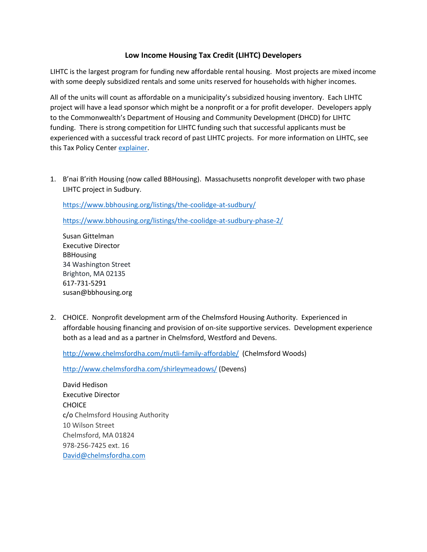## **Low Income Housing Tax Credit (LIHTC) Developers**

LIHTC is the largest program for funding new affordable rental housing. Most projects are mixed income with some deeply subsidized rentals and some units reserved for households with higher incomes.

All of the units will count as affordable on a municipality's subsidized housing inventory. Each LIHTC project will have a lead sponsor which might be a nonprofit or a for profit developer. Developers apply to the Commonwealth's Department of Housing and Community Development (DHCD) for LIHTC funding. There is strong competition for LIHTC funding such that successful applicants must be experienced with a successful track record of past LIHTC projects. For more information on LIHTC, see this Tax Policy Center [explainer.](https://www.taxpolicycenter.org/briefing-book/what-low-income-housing-tax-credit-and-how-does-it-work#:~:text=The%20Low%2DIncome%20Housing%20Tax%20Credit%20(LIHTC)%20subsidizes%20the,%2D%20and%20moderate%2Dincome%20tenants.&text=State%20housing%20agencies%20then%20award,projects%20through%20a%20competitive%20process.)

1. B'nai B'rith Housing (now called BBHousing). Massachusetts nonprofit developer with two phase LIHTC project in Sudbury.

<https://www.bbhousing.org/listings/the-coolidge-at-sudbury/>

<https://www.bbhousing.org/listings/the-coolidge-at-sudbury-phase-2/>

Susan Gittelman Executive Director BBHousing 34 Washington Street Brighton, MA 02135 617-731-5291 susan@bbhousing.org

2. CHOICE. Nonprofit development arm of the Chelmsford Housing Authority. Experienced in affordable housing financing and provision of on-site supportive services. Development experience both as a lead and as a partner in Chelmsford, Westford and Devens.

<http://www.chelmsfordha.com/mutli-family-affordable/>(Chelmsford Woods)

<http://www.chelmsfordha.com/shirleymeadows/> (Devens)

David Hedison Executive Director **CHOICE** c/o Chelmsford Housing Authority 10 Wilson Street Chelmsford, MA 01824 978-256-7425 ext. 16 [David@chelmsfordha.com](mailto:David@chelmsfordha.com)